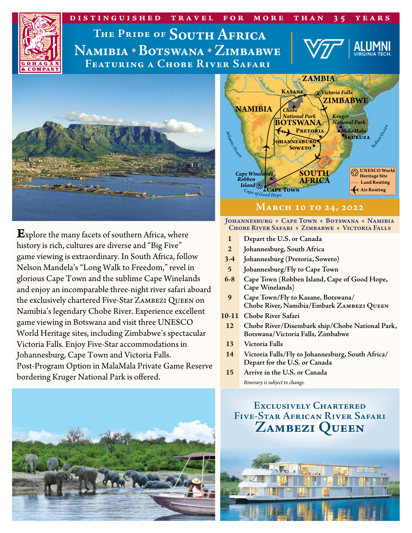

Namibia \* Botswana \* Zimbabwe **Featuring a Chobe River Safari**



**E**xplore the many facets of southern Africa, where history is rich, cultures are diverse and "Big Five" game viewing is extraordinary. In South Africa, follow Nelson Mandela's "Long Walk to Freedom," revel in glorious Cape Town and the sublime Cape Winelands and enjoy an incomparable three-night river safari aboard the exclusively chartered Five-Star Zambezi Queen on Namibia's legendary Chobe River. Experience excellent game viewing in Botswana and visit three UNESCO World Heritage sites, including Zimbabwe's spectacular Victoria Falls. Enjoy Five-Star accommodations in Johannesburg, Cape Town and Victoria Falls. Post-Program Option in MalaMala Private Game Reserve bordering Kruger National Park is offered.





## **March 10 to 24, 2022**

#### JOHANNESBURG + CAPE TOWN + BOTSWANA + NAMIBIA CHOBE RIVER SAFARI + ZIMBABWE + VICTORIA FALLS

- **1 Depart the U.S. or Canada**
- **2 Johannesburg, South Africa**
- **3-4 Johannesburg (Pretoria, Soweto)**
- **5 Johannesburg/Fly to Cape Town**
- **6-8 Cape Town (Robben Island, Cape of Good Hope, Cape Winelands)**
- **9 Cape Town/Fly to Kasane, Botswana/ Chobe River, Namibia/Embark Zambezi Queen**
- **10-11 Chobe River Safari**
- **12 Chobe River/Disembark ship/Chobe National Park, Botswana/Victoria Falls, Zimbabwe**
- **13 Victoria Falls**
- **14 Victoria Falls/Fly to Johannesburg, South Africa/ Depart for the U.S. or Canada**
- **15 Arrive in the U.S. or Canada** *Itinerary is subject to change.*

## **Exclusively Chartered Five-Star African River Safari Zambezi Queen**